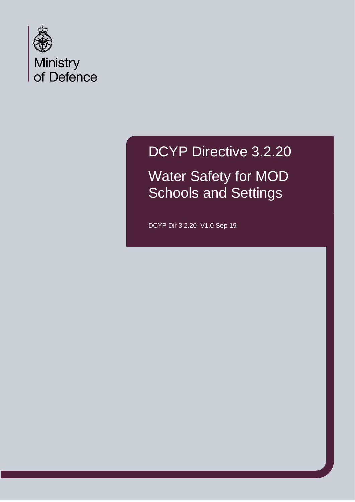

DCYP Directive 3.2.20 Water Safety for MOD Schools and Settings

DCYP Dir 3.2.20 V1.0 Sep 19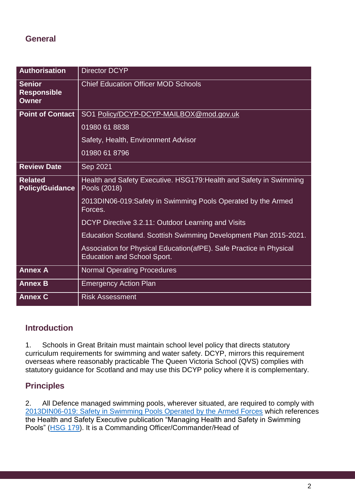## **General**

| <b>Authorisation</b>                                | <b>Director DCYP</b>                                                                                      |
|-----------------------------------------------------|-----------------------------------------------------------------------------------------------------------|
| <b>Senior</b><br><b>Responsible</b><br><b>Owner</b> | <b>Chief Education Officer MOD Schools</b>                                                                |
| <b>Point of Contact</b>                             | SO1 Policy/DCYP-DCYP-MAILBOX@mod.gov.uk                                                                   |
|                                                     | 01980 61 8838                                                                                             |
|                                                     | Safety, Health, Environment Advisor                                                                       |
|                                                     | 01980 61 8796                                                                                             |
| <b>Review Date</b>                                  | Sep 2021                                                                                                  |
| <b>Related</b><br><b>Policy/Guidance</b>            | Health and Safety Executive. HSG179: Health and Safety in Swimming<br>Pools (2018)                        |
|                                                     | 2013DIN06-019:Safety in Swimming Pools Operated by the Armed<br>Forces.                                   |
|                                                     | DCYP Directive 3.2.11: Outdoor Learning and Visits                                                        |
|                                                     | Education Scotland. Scottish Swimming Development Plan 2015-2021.                                         |
|                                                     | Association for Physical Education(afPE). Safe Practice in Physical<br><b>Education and School Sport.</b> |
| <b>Annex A</b>                                      | <b>Normal Operating Procedures</b>                                                                        |
| <b>Annex B</b>                                      | <b>Emergency Action Plan</b>                                                                              |
| <b>Annex C</b>                                      | <b>Risk Assessment</b>                                                                                    |

## **Introduction**

1. Schools in Great Britain must maintain school level policy that directs statutory curriculum requirements for swimming and water safety. DCYP, mirrors this requirement overseas where reasonably practicable The Queen Victoria School (QVS) complies with statutory guidance for Scotland and may use this DCYP policy where it is complementary.

# **Principles**

2. All Defence managed swimming pools, wherever situated, are required to comply with [2013DIN06-019:](https://emea01.safelinks.protection.outlook.com/?url=http%3A%2F%2Fdefenceintranet.diif.r.mil.uk%2Flibraries%2Fcorporate%2FDINSsafety%2F2013%2F2013DIN06-019.pdf&data=02%7C01%7CCaroline.Waight158%40mod.gov.uk%7C4683b6f72e114c5ad7eb08d6a6238c9f%7Cbe7760ed5953484bae95d0a16dfa09e5%7C0%7C0%7C636879068941806142&sdata=OR5Ttr36ogc3PjU2%2FFbNFJsJeSfWYljwuCPVrOpCizw%3D&reserved=0) Safety in Swimming Pools Operated by the Armed Forces which references the Health and Safety Executive publication "Managing Health and Safety in Swimming Pools" [\(HSG 179\)](https://emea01.safelinks.protection.outlook.com/?url=http%3A%2F%2Fwww.hse.gov.uk%2Fpubns%2Fbooks%2Fhsg179.htm&data=02%7C01%7CCaroline.Waight158%40mod.gov.uk%7C4683b6f72e114c5ad7eb08d6a6238c9f%7Cbe7760ed5953484bae95d0a16dfa09e5%7C0%7C0%7C636879068941816142&sdata=NGYKRrDv%2BR0y0u0DndjOnsWf02ZjzA%2FkGnJVhOII04A%3D&reserved=0). It is a Commanding Officer/Commander/Head of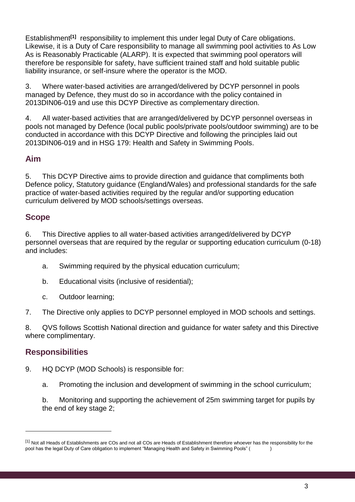Establishment**[1]** responsibility to implement this under legal Duty of Care obligations. Likewise, it is a Duty of Care responsibility to manage all swimming pool activities to As Low As is Reasonably Practicable (ALARP). It is expected that swimming pool operators will therefore be responsible for safety, have sufficient trained staff and hold suitable public liability insurance, or self-insure where the operator is the MOD.

3. Where water-based activities are arranged/delivered by DCYP personnel in pools managed by Defence, they must do so in accordance with the policy contained in 2013DIN06-019 and use this DCYP Directive as complementary direction.

4. All water-based activities that are arranged/delivered by DCYP personnel overseas in pools not managed by Defence (local public pools/private pools/outdoor swimming) are to be conducted in accordance with this DCYP Directive and following the principles laid out 2013DIN06-019 and in HSG 179: Health and Safety in Swimming Pools.

## **Aim**

5. This DCYP Directive aims to provide direction and guidance that compliments both Defence policy, Statutory guidance (England/Wales) and professional standards for the safe practice of water-based activities required by the regular and/or supporting education curriculum delivered by MOD schools/settings overseas.

## **Scope**

6. This Directive applies to all water-based activities arranged/delivered by DCYP personnel overseas that are required by the regular or supporting education curriculum (0-18) and includes:

- a. Swimming required by the physical education curriculum;
- b. Educational visits (inclusive of residential);
- c. Outdoor learning;

7. The Directive only applies to DCYP personnel employed in MOD schools and settings.

8. QVS follows Scottish National direction and guidance for water safety and this Directive where complimentary.

## **Responsibilities**

- 9. HQ DCYP (MOD Schools) is responsible for:
	- a. Promoting the inclusion and development of swimming in the school curriculum;

b. Monitoring and supporting the achievement of 25m swimming target for pupils by the end of key stage 2;

<sup>&</sup>lt;sup>[1]</sup> Not all Heads of Establishments are COs and not all COs are Heads of Establishment therefore whoever has the responsibility for the pool has the legal Duty of Care obligation to implement "Managing Health and Safety in Swimming Pools" (  $\qquad \qquad$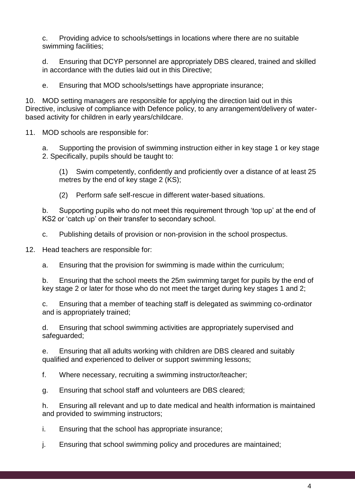c. Providing advice to schools/settings in locations where there are no suitable swimming facilities;

d. Ensuring that DCYP personnel are appropriately DBS cleared, trained and skilled in accordance with the duties laid out in this Directive;

e. Ensuring that MOD schools/settings have appropriate insurance;

10. MOD setting managers are responsible for applying the direction laid out in this Directive, inclusive of compliance with Defence policy, to any arrangement/delivery of waterbased activity for children in early years/childcare.

11. MOD schools are responsible for:

a. Supporting the provision of swimming instruction either in key stage 1 or key stage 2. Specifically, pupils should be taught to:

(1) Swim competently, confidently and proficiently over a distance of at least 25 metres by the end of key stage 2 (KS);

(2) Perform safe self-rescue in different water-based situations.

b. Supporting pupils who do not meet this requirement through 'top up' at the end of KS2 or 'catch up' on their transfer to secondary school.

c. Publishing details of provision or non-provision in the school prospectus.

12. Head teachers are responsible for:

a. Ensuring that the provision for swimming is made within the curriculum;

b. Ensuring that the school meets the 25m swimming target for pupils by the end of key stage 2 or later for those who do not meet the target during key stages 1 and 2;

c. Ensuring that a member of teaching staff is delegated as swimming co-ordinator and is appropriately trained;

d. Ensuring that school swimming activities are appropriately supervised and safeguarded;

e. Ensuring that all adults working with children are DBS cleared and suitably qualified and experienced to deliver or support swimming lessons;

f. Where necessary, recruiting a swimming instructor/teacher;

g. Ensuring that school staff and volunteers are DBS cleared;

h. Ensuring all relevant and up to date medical and health information is maintained and provided to swimming instructors;

i. Ensuring that the school has appropriate insurance;

j. Ensuring that school swimming policy and procedures are maintained;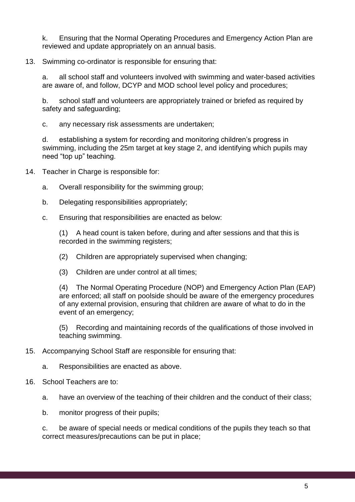k. Ensuring that the Normal Operating Procedures and Emergency Action Plan are reviewed and update appropriately on an annual basis.

#### 13. Swimming co-ordinator is responsible for ensuring that:

a. all school staff and volunteers involved with swimming and water-based activities are aware of, and follow, DCYP and MOD school level policy and procedures;

b. school staff and volunteers are appropriately trained or briefed as required by safety and safeguarding;

c. any necessary risk assessments are undertaken;

d. establishing a system for recording and monitoring children's progress in swimming, including the 25m target at key stage 2, and identifying which pupils may need "top up" teaching.

14. Teacher in Charge is responsible for:

- a. Overall responsibility for the swimming group;
- b. Delegating responsibilities appropriately;
- c. Ensuring that responsibilities are enacted as below:

(1) A head count is taken before, during and after sessions and that this is recorded in the swimming registers;

- (2) Children are appropriately supervised when changing;
- (3) Children are under control at all times;

(4) The Normal Operating Procedure (NOP) and Emergency Action Plan (EAP) are enforced; all staff on poolside should be aware of the emergency procedures of any external provision, ensuring that children are aware of what to do in the event of an emergency;

(5) Recording and maintaining records of the qualifications of those involved in teaching swimming.

- 15. Accompanying School Staff are responsible for ensuring that:
	- a. Responsibilities are enacted as above.
- 16. School Teachers are to:
	- a. have an overview of the teaching of their children and the conduct of their class;
	- b. monitor progress of their pupils;

c. be aware of special needs or medical conditions of the pupils they teach so that correct measures/precautions can be put in place;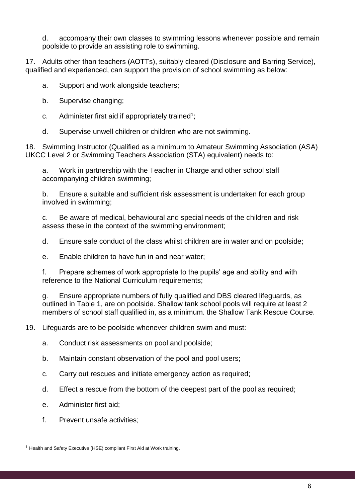d. accompany their own classes to swimming lessons whenever possible and remain poolside to provide an assisting role to swimming.

17. Adults other than teachers (AOTTs), suitably cleared (Disclosure and Barring Service), qualified and experienced, can support the provision of school swimming as below:

a. Support and work alongside teachers;

- b. Supervise changing;
- c. Administer first aid if appropriately trained<sup>1</sup>;
- d. Supervise unwell children or children who are not swimming.

18. Swimming Instructor (Qualified as a minimum to Amateur Swimming Association (ASA) UKCC Level 2 or Swimming Teachers Association (STA) equivalent) needs to:

a. Work in partnership with the Teacher in Charge and other school staff accompanying children swimming;

b. Ensure a suitable and sufficient risk assessment is undertaken for each group involved in swimming;

c. Be aware of medical, behavioural and special needs of the children and risk assess these in the context of the swimming environment;

d. Ensure safe conduct of the class whilst children are in water and on poolside;

e. Enable children to have fun in and near water;

f. Prepare schemes of work appropriate to the pupils' age and ability and with reference to the National Curriculum requirements;

g. Ensure appropriate numbers of fully qualified and DBS cleared lifeguards, as outlined in Table 1, are on poolside. Shallow tank school pools will require at least 2 members of school staff qualified in, as a minimum. the Shallow Tank Rescue Course.

19. Lifeguards are to be poolside whenever children swim and must:

- a. Conduct risk assessments on pool and poolside;
- b. Maintain constant observation of the pool and pool users;
- c. Carry out rescues and initiate emergency action as required;
- d. Effect a rescue from the bottom of the deepest part of the pool as required;
- e. Administer first aid;

f. Prevent unsafe activities;

<sup>&</sup>lt;sup>1</sup> Health and Safety Executive (HSE) compliant First Aid at Work training.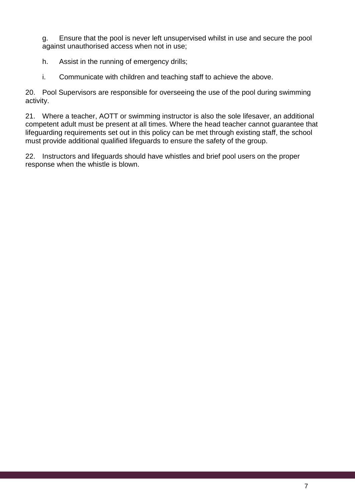g. Ensure that the pool is never left unsupervised whilst in use and secure the pool against unauthorised access when not in use;

- h. Assist in the running of emergency drills;
- i. Communicate with children and teaching staff to achieve the above.

20. Pool Supervisors are responsible for overseeing the use of the pool during swimming activity.

21. Where a teacher, AOTT or swimming instructor is also the sole lifesaver, an additional competent adult must be present at all times. Where the head teacher cannot guarantee that lifeguarding requirements set out in this policy can be met through existing staff, the school must provide additional qualified lifeguards to ensure the safety of the group.

22. Instructors and lifeguards should have whistles and brief pool users on the proper response when the whistle is blown.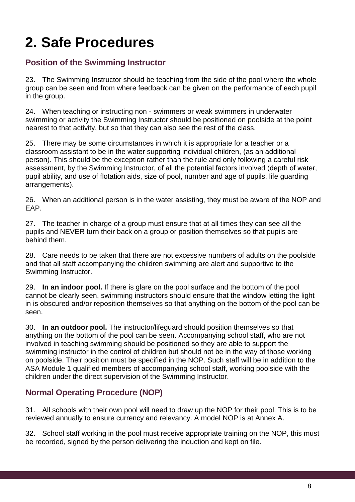# **2. Safe Procedures**

# **Position of the Swimming Instructor**

23. The Swimming Instructor should be teaching from the side of the pool where the whole group can be seen and from where feedback can be given on the performance of each pupil in the group.

24. When teaching or instructing non - swimmers or weak swimmers in underwater swimming or activity the Swimming Instructor should be positioned on poolside at the point nearest to that activity, but so that they can also see the rest of the class.

25. There may be some circumstances in which it is appropriate for a teacher or a classroom assistant to be in the water supporting individual children, (as an additional person). This should be the exception rather than the rule and only following a careful risk assessment, by the Swimming Instructor, of all the potential factors involved (depth of water, pupil ability, and use of flotation aids, size of pool, number and age of pupils, life guarding arrangements).

26. When an additional person is in the water assisting, they must be aware of the NOP and EAP.

27. The teacher in charge of a group must ensure that at all times they can see all the pupils and NEVER turn their back on a group or position themselves so that pupils are behind them.

28. Care needs to be taken that there are not excessive numbers of adults on the poolside and that all staff accompanying the children swimming are alert and supportive to the Swimming Instructor.

29. **In an indoor pool.** If there is glare on the pool surface and the bottom of the pool cannot be clearly seen, swimming instructors should ensure that the window letting the light in is obscured and/or reposition themselves so that anything on the bottom of the pool can be seen.

30. **In an outdoor pool.** The instructor/lifeguard should position themselves so that anything on the bottom of the pool can be seen. Accompanying school staff, who are not involved in teaching swimming should be positioned so they are able to support the swimming instructor in the control of children but should not be in the way of those working on poolside. Their position must be specified in the NOP. Such staff will be in addition to the ASA Module 1 qualified members of accompanying school staff, working poolside with the children under the direct supervision of the Swimming Instructor.

# **Normal Operating Procedure (NOP)**

31. All schools with their own pool will need to draw up the NOP for their pool. This is to be reviewed annually to ensure currency and relevancy. A model NOP is at Annex A.

32. School staff working in the pool must receive appropriate training on the NOP, this must be recorded, signed by the person delivering the induction and kept on file.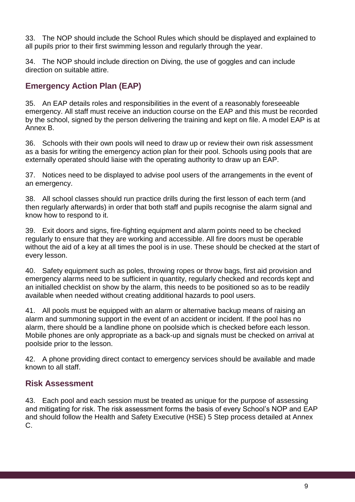33. The NOP should include the School Rules which should be displayed and explained to all pupils prior to their first swimming lesson and regularly through the year.

34. The NOP should include direction on Diving, the use of goggles and can include direction on suitable attire.

# **Emergency Action Plan (EAP)**

35. An EAP details roles and responsibilities in the event of a reasonably foreseeable emergency. All staff must receive an induction course on the EAP and this must be recorded by the school, signed by the person delivering the training and kept on file. A model EAP is at Annex B.

36. Schools with their own pools will need to draw up or review their own risk assessment as a basis for writing the emergency action plan for their pool. Schools using pools that are externally operated should liaise with the operating authority to draw up an EAP.

37. Notices need to be displayed to advise pool users of the arrangements in the event of an emergency.

38. All school classes should run practice drills during the first lesson of each term (and then regularly afterwards) in order that both staff and pupils recognise the alarm signal and know how to respond to it.

39. Exit doors and signs, fire-fighting equipment and alarm points need to be checked regularly to ensure that they are working and accessible. All fire doors must be operable without the aid of a key at all times the pool is in use. These should be checked at the start of every lesson.

40. Safety equipment such as poles, throwing ropes or throw bags, first aid provision and emergency alarms need to be sufficient in quantity, regularly checked and records kept and an initialled checklist on show by the alarm, this needs to be positioned so as to be readily available when needed without creating additional hazards to pool users.

41. All pools must be equipped with an alarm or alternative backup means of raising an alarm and summoning support in the event of an accident or incident. If the pool has no alarm, there should be a landline phone on poolside which is checked before each lesson. Mobile phones are only appropriate as a back-up and signals must be checked on arrival at poolside prior to the lesson.

42. A phone providing direct contact to emergency services should be available and made known to all staff.

# **Risk Assessment**

43. Each pool and each session must be treated as unique for the purpose of assessing and mitigating for risk. The risk assessment forms the basis of every School's NOP and EAP and should follow the Health and Safety Executive (HSE) 5 Step process detailed at Annex C.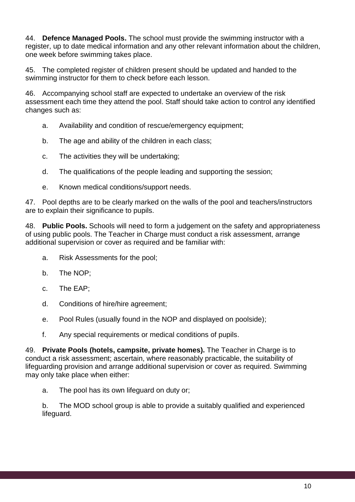44. **Defence Managed Pools.** The school must provide the swimming instructor with a register, up to date medical information and any other relevant information about the children, one week before swimming takes place.

45. The completed register of children present should be updated and handed to the swimming instructor for them to check before each lesson.

46. Accompanying school staff are expected to undertake an overview of the risk assessment each time they attend the pool. Staff should take action to control any identified changes such as:

- a. Availability and condition of rescue/emergency equipment;
- b. The age and ability of the children in each class;
- c. The activities they will be undertaking;
- d. The qualifications of the people leading and supporting the session;
- e. Known medical conditions/support needs.

47. Pool depths are to be clearly marked on the walls of the pool and teachers/instructors are to explain their significance to pupils.

48. **Public Pools.** Schools will need to form a judgement on the safety and appropriateness of using public pools. The Teacher in Charge must conduct a risk assessment, arrange additional supervision or cover as required and be familiar with:

- a. Risk Assessments for the pool;
- b. The NOP;
- c. The EAP;
- d. Conditions of hire/hire agreement;
- e. Pool Rules (usually found in the NOP and displayed on poolside);
- f. Any special requirements or medical conditions of pupils.

49. **Private Pools (hotels, campsite, private homes).** The Teacher in Charge is to conduct a risk assessment; ascertain, where reasonably practicable, the suitability of lifeguarding provision and arrange additional supervision or cover as required. Swimming may only take place when either:

a. The pool has its own lifeguard on duty or;

b. The MOD school group is able to provide a suitably qualified and experienced lifeguard.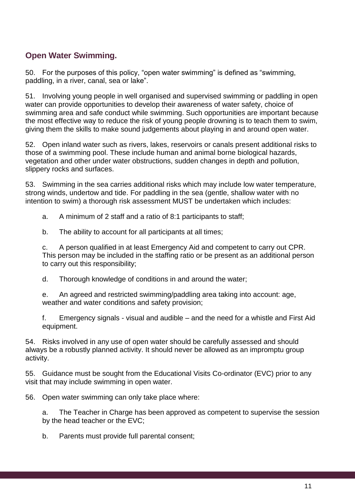# **Open Water Swimming.**

50. For the purposes of this policy, "open water swimming" is defined as "swimming, paddling, in a river, canal, sea or lake".

51. Involving young people in well organised and supervised swimming or paddling in open water can provide opportunities to develop their awareness of water safety, choice of swimming area and safe conduct while swimming. Such opportunities are important because the most effective way to reduce the risk of young people drowning is to teach them to swim, giving them the skills to make sound judgements about playing in and around open water.

52. Open inland water such as rivers, lakes, reservoirs or canals present additional risks to those of a swimming pool. These include human and animal borne biological hazards, vegetation and other under water obstructions, sudden changes in depth and pollution, slippery rocks and surfaces.

53. Swimming in the sea carries additional risks which may include low water temperature, strong winds, undertow and tide. For paddling in the sea (gentle, shallow water with no intention to swim) a thorough risk assessment MUST be undertaken which includes:

a. A minimum of 2 staff and a ratio of 8:1 participants to staff;

b. The ability to account for all participants at all times;

c. A person qualified in at least Emergency Aid and competent to carry out CPR. This person may be included in the staffing ratio or be present as an additional person to carry out this responsibility;

d. Thorough knowledge of conditions in and around the water;

e. An agreed and restricted swimming/paddling area taking into account: age, weather and water conditions and safety provision;

f. Emergency signals - visual and audible – and the need for a whistle and First Aid equipment.

54. Risks involved in any use of open water should be carefully assessed and should always be a robustly planned activity. It should never be allowed as an impromptu group activity.

55. Guidance must be sought from the Educational Visits Co-ordinator (EVC) prior to any visit that may include swimming in open water.

56. Open water swimming can only take place where:

a. The Teacher in Charge has been approved as competent to supervise the session by the head teacher or the EVC;

b. Parents must provide full parental consent;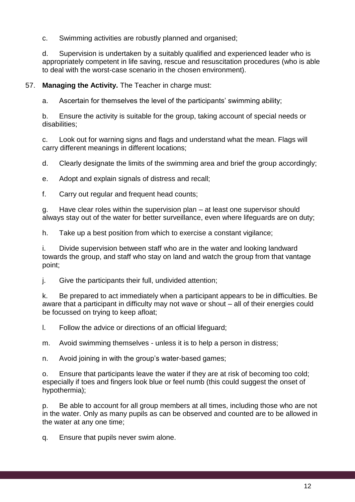c. Swimming activities are robustly planned and organised;

d. Supervision is undertaken by a suitably qualified and experienced leader who is appropriately competent in life saving, rescue and resuscitation procedures (who is able to deal with the worst-case scenario in the chosen environment).

57. **Managing the Activity.** The Teacher in charge must:

a. Ascertain for themselves the level of the participants' swimming ability;

b. Ensure the activity is suitable for the group, taking account of special needs or disabilities;

c. Look out for warning signs and flags and understand what the mean. Flags will carry different meanings in different locations;

d. Clearly designate the limits of the swimming area and brief the group accordingly;

e. Adopt and explain signals of distress and recall;

f. Carry out regular and frequent head counts;

g. Have clear roles within the supervision plan – at least one supervisor should always stay out of the water for better surveillance, even where lifeguards are on duty;

h. Take up a best position from which to exercise a constant vigilance;

i. Divide supervision between staff who are in the water and looking landward towards the group, and staff who stay on land and watch the group from that vantage point;

j. Give the participants their full, undivided attention;

k. Be prepared to act immediately when a participant appears to be in difficulties. Be aware that a participant in difficulty may not wave or shout – all of their energies could be focussed on trying to keep afloat;

l. Follow the advice or directions of an official lifeguard;

m. Avoid swimming themselves - unless it is to help a person in distress;

n. Avoid joining in with the group's water-based games;

o. Ensure that participants leave the water if they are at risk of becoming too cold; especially if toes and fingers look blue or feel numb (this could suggest the onset of hypothermia);

p. Be able to account for all group members at all times, including those who are not in the water. Only as many pupils as can be observed and counted are to be allowed in the water at any one time;

q. Ensure that pupils never swim alone.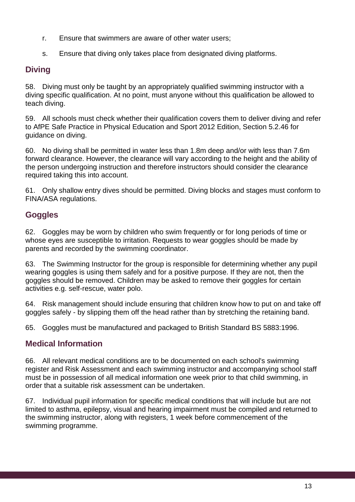- r. Ensure that swimmers are aware of other water users;
- s. Ensure that diving only takes place from designated diving platforms.

# **Diving**

58. Diving must only be taught by an appropriately qualified swimming instructor with a diving specific qualification. At no point, must anyone without this qualification be allowed to teach diving.

59. All schools must check whether their qualification covers them to deliver diving and refer to AfPE Safe Practice in Physical Education and Sport 2012 Edition, Section 5.2.46 for guidance on diving.

60. No diving shall be permitted in water less than 1.8m deep and/or with less than 7.6m forward clearance. However, the clearance will vary according to the height and the ability of the person undergoing instruction and therefore instructors should consider the clearance required taking this into account.

61. Only shallow entry dives should be permitted. Diving blocks and stages must conform to FINA/ASA regulations.

# **Goggles**

62. Goggles may be worn by children who swim frequently or for long periods of time or whose eyes are susceptible to irritation. Requests to wear goggles should be made by parents and recorded by the swimming coordinator.

63. The Swimming Instructor for the group is responsible for determining whether any pupil wearing goggles is using them safely and for a positive purpose. If they are not, then the goggles should be removed. Children may be asked to remove their goggles for certain activities e.g. self-rescue, water polo.

64. Risk management should include ensuring that children know how to put on and take off goggles safely - by slipping them off the head rather than by stretching the retaining band.

65. Goggles must be manufactured and packaged to British Standard BS 5883:1996.

# **Medical Information**

66. All relevant medical conditions are to be documented on each school's swimming register and Risk Assessment and each swimming instructor and accompanying school staff must be in possession of all medical information one week prior to that child swimming, in order that a suitable risk assessment can be undertaken.

67. Individual pupil information for specific medical conditions that will include but are not limited to asthma, epilepsy, visual and hearing impairment must be compiled and returned to the swimming instructor, along with registers, 1 week before commencement of the swimming programme.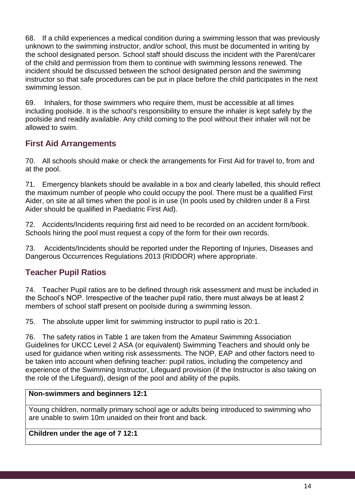68. If a child experiences a medical condition during a swimming lesson that was previously unknown to the swimming instructor, and/or school, this must be documented in writing by the school designated person. School staff should discuss the incident with the Parent/carer of the child and permission from them to continue with swimming lessons renewed. The incident should be discussed between the school designated person and the swimming instructor so that safe procedures can be put in place before the child participates in the next swimming lesson.

69. Inhalers, for those swimmers who require them, must be accessible at all times including poolside. It is the school's responsibility to ensure the inhaler is kept safely by the poolside and readily available. Any child coming to the pool without their inhaler will not be allowed to swim.

# **First Aid Arrangements**

70. All schools should make or check the arrangements for First Aid for travel to, from and at the pool.

71. Emergency blankets should be available in a box and clearly labelled, this should reflect the maximum number of people who could occupy the pool. There must be a qualified First Aider, on site at all times when the pool is in use (In pools used by children under 8 a First Aider should be qualified in Paediatric First Aid).

72. Accidents/Incidents requiring first aid need to be recorded on an accident form/book. Schools hiring the pool must request a copy of the form for their own records.

73. Accidents/Incidents should be reported under the Reporting of Injuries, Diseases and Dangerous Occurrences Regulations 2013 (RIDDOR) where appropriate.

# **Teacher Pupil Ratios**

74. Teacher Pupil ratios are to be defined through risk assessment and must be included in the School's NOP. Irrespective of the teacher pupil ratio, there must always be at least 2 members of school staff present on poolside during a swimming lesson.

75. The absolute upper limit for swimming instructor to pupil ratio is 20:1.

76. The safety ratios in Table 1 are taken from the Amateur Swimming Association Guidelines for UKCC Level 2 ASA (or equivalent) Swimming Teachers and should only be used for guidance when writing risk assessments. The NOP, EAP and other factors need to be taken into account when defining teacher: pupil ratios, including the competency and experience of the Swimming Instructor, Lifeguard provision (if the Instructor is also taking on the role of the Lifeguard), design of the pool and ability of the pupils.

#### **Non-swimmers and beginners 12:1**

Young children, normally primary school age or adults being introduced to swimming who are unable to swim 10m unaided on their front and back.

#### **Children under the age of 7 12:1**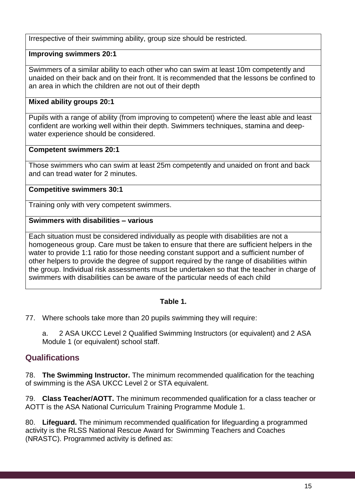Irrespective of their swimming ability, group size should be restricted.

#### **Improving swimmers 20:1**

Swimmers of a similar ability to each other who can swim at least 10m competently and unaided on their back and on their front. It is recommended that the lessons be confined to an area in which the children are not out of their depth

#### **Mixed ability groups 20:1**

Pupils with a range of ability (from improving to competent) where the least able and least confident are working well within their depth. Swimmers techniques, stamina and deepwater experience should be considered.

#### **Competent swimmers 20:1**

Those swimmers who can swim at least 25m competently and unaided on front and back and can tread water for 2 minutes.

#### **Competitive swimmers 30:1**

Training only with very competent swimmers.

#### **Swimmers with disabilities – various**

Each situation must be considered individually as people with disabilities are not a homogeneous group. Care must be taken to ensure that there are sufficient helpers in the water to provide 1:1 ratio for those needing constant support and a sufficient number of other helpers to provide the degree of support required by the range of disabilities within the group. Individual risk assessments must be undertaken so that the teacher in charge of swimmers with disabilities can be aware of the particular needs of each child

#### **Table 1.**

77. Where schools take more than 20 pupils swimming they will require:

a. 2 ASA UKCC Level 2 Qualified Swimming Instructors (or equivalent) and 2 ASA Module 1 (or equivalent) school staff.

## **Qualifications**

78. **The Swimming Instructor.** The minimum recommended qualification for the teaching of swimming is the ASA UKCC Level 2 or STA equivalent.

79. **Class Teacher/AOTT.** The minimum recommended qualification for a class teacher or AOTT is the ASA National Curriculum Training Programme Module 1.

80. **Lifeguard.** The minimum recommended qualification for lifeguarding a programmed activity is the RLSS National Rescue Award for Swimming Teachers and Coaches (NRASTC). Programmed activity is defined as: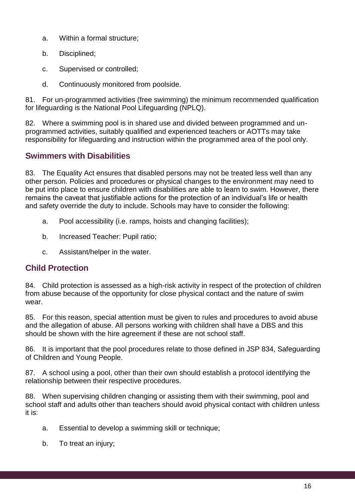- a. Within a formal structure;
- b. Disciplined;
- c. Supervised or controlled;
- d. Continuously monitored from poolside.

81. For un-programmed activities (free swimming) the minimum recommended qualification for lifeguarding is the National Pool Lifeguarding (NPLQ).

82. Where a swimming pool is in shared use and divided between programmed and unprogrammed activities, suitably qualified and experienced teachers or AOTTs may take responsibility for lifeguarding and instruction within the programmed area of the pool only.

## **Swimmers with Disabilities**

83. The Equality Act ensures that disabled persons may not be treated less well than any other person. Policies and procedures or physical changes to the environment may need to be put into place to ensure children with disabilities are able to learn to swim. However, there remains the caveat that justifiable actions for the protection of an individual's life or health and safety override the duty to include. Schools may have to consider the following:

- a. Pool accessibility (i.e. ramps, hoists and changing facilities);
- b. Increased Teacher: Pupil ratio;
- c. Assistant/helper in the water.

## **Child Protection**

84. Child protection is assessed as a high-risk activity in respect of the protection of children from abuse because of the opportunity for close physical contact and the nature of swim wear.

85. For this reason, special attention must be given to rules and procedures to avoid abuse and the allegation of abuse. All persons working with children shall have a DBS and this should be shown with the hire agreement if these are not school staff.

86. It is important that the pool procedures relate to those defined in JSP 834, Safeguarding of Children and Young People.

87. A school using a pool, other than their own should establish a protocol identifying the relationship between their respective procedures.

88. When supervising children changing or assisting them with their swimming, pool and school staff and adults other than teachers should avoid physical contact with children unless it is:

- a. Essential to develop a swimming skill or technique;
- b. To treat an injury;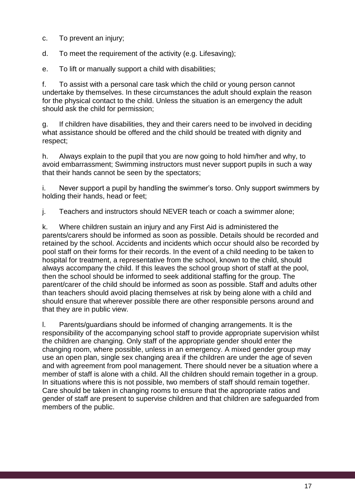- c. To prevent an injury;
- d. To meet the requirement of the activity (e.g. Lifesaving);
- e. To lift or manually support a child with disabilities;

f. To assist with a personal care task which the child or young person cannot undertake by themselves. In these circumstances the adult should explain the reason for the physical contact to the child. Unless the situation is an emergency the adult should ask the child for permission;

g. If children have disabilities, they and their carers need to be involved in deciding what assistance should be offered and the child should be treated with dignity and respect;

h. Always explain to the pupil that you are now going to hold him/her and why, to avoid embarrassment; Swimming instructors must never support pupils in such a way that their hands cannot be seen by the spectators;

i. Never support a pupil by handling the swimmer's torso. Only support swimmers by holding their hands, head or feet;

j. Teachers and instructors should NEVER teach or coach a swimmer alone;

k. Where children sustain an injury and any First Aid is administered the parents/carers should be informed as soon as possible. Details should be recorded and retained by the school. Accidents and incidents which occur should also be recorded by pool staff on their forms for their records. In the event of a child needing to be taken to hospital for treatment, a representative from the school, known to the child, should always accompany the child. If this leaves the school group short of staff at the pool, then the school should be informed to seek additional staffing for the group. The parent/carer of the child should be informed as soon as possible. Staff and adults other than teachers should avoid placing themselves at risk by being alone with a child and should ensure that wherever possible there are other responsible persons around and that they are in public view.

l. Parents/guardians should be informed of changing arrangements. It is the responsibility of the accompanying school staff to provide appropriate supervision whilst the children are changing. Only staff of the appropriate gender should enter the changing room, where possible, unless in an emergency. A mixed gender group may use an open plan, single sex changing area if the children are under the age of seven and with agreement from pool management. There should never be a situation where a member of staff is alone with a child. All the children should remain together in a group. In situations where this is not possible, two members of staff should remain together. Care should be taken in changing rooms to ensure that the appropriate ratios and gender of staff are present to supervise children and that children are safeguarded from members of the public.